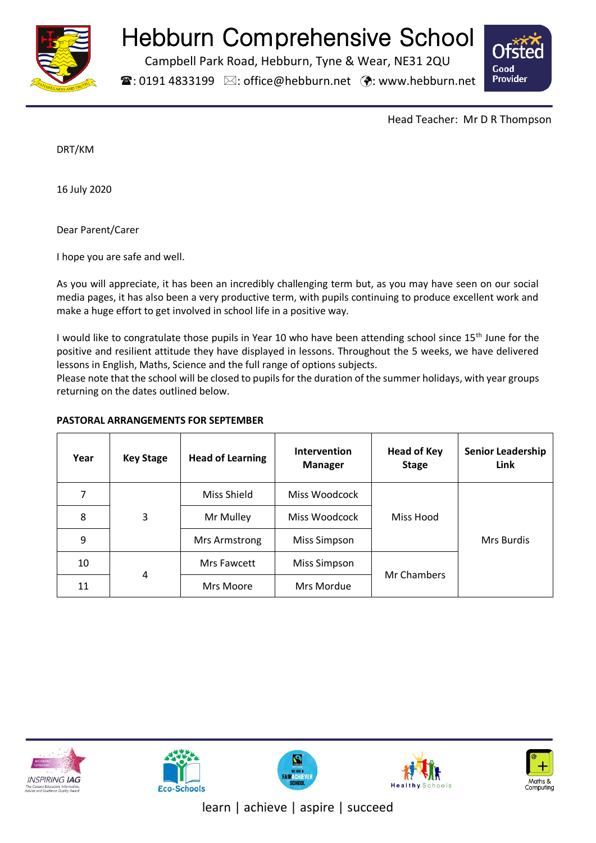

# Hebburn Comprehensive School

Campbell Park Road, Hebburn, Tyne & Wear, NE31 2QU

 $\mathbf{\widehat{a}}$ : 0191 4833199  $\boxtimes$ : office@hebburn.net  $\ddot{\bullet}$ : www.hebburn.net



Head Teacher: Mr D R Thompson

DRT/KM

16 July 2020

Dear Parent/Carer

I hope you are safe and well.

As you will appreciate, it has been an incredibly challenging term but, as you may have seen on our social media pages, it has also been a very productive term, with pupils continuing to produce excellent work and make a huge effort to get involved in school life in a positive way.

I would like to congratulate those pupils in Year 10 who have been attending school since 15<sup>th</sup> June for the positive and resilient attitude they have displayed in lessons. Throughout the 5 weeks, we have delivered lessons in English, Maths, Science and the full range of options subjects.

Please note that the school will be closed to pupils for the duration of the summer holidays, with year groups returning on the dates outlined below.

# **PASTORAL ARRANGEMENTS FOR SEPTEMBER**

| Year | <b>Key Stage</b> | <b>Head of Learning</b> | Intervention<br><b>Manager</b> | <b>Head of Key</b><br><b>Stage</b> | <b>Senior Leadership</b><br>Link |
|------|------------------|-------------------------|--------------------------------|------------------------------------|----------------------------------|
| 7    | 3                | Miss Shield             | Miss Woodcock                  | Miss Hood                          | Mrs Burdis                       |
| 8    |                  | Mr Mulley               | Miss Woodcock                  |                                    |                                  |
| 9    |                  | Mrs Armstrong           | <b>Miss Simpson</b>            |                                    |                                  |
| 10   | 4                | Mrs Fawcett             | <b>Miss Simpson</b>            | Mr Chambers                        |                                  |
| 11   |                  | Mrs Moore               | Mrs Mordue                     |                                    |                                  |











learn | achieve | aspire | succeed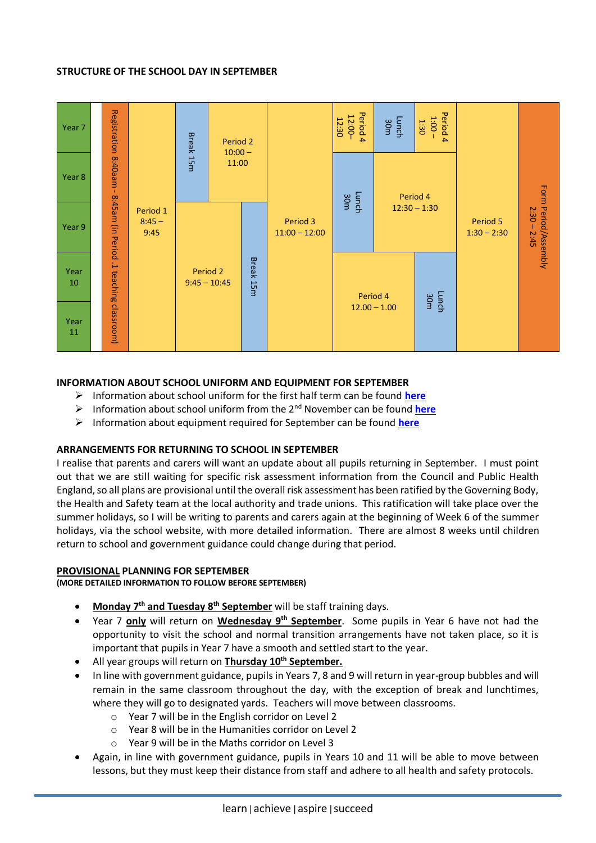## **STRUCTURE OF THE SCHOOL DAY IN SEPTEMBER**



## **INFORMATION ABOUT SCHOOL UNIFORM AND EQUIPMENT FOR SEPTEMBER**

- ➢ Information about school uniform for the first half term can be found **[here](http://www.hebburn.net/wp-content/uploads/2020/07/SB-Uniform-Letter.pdf)**
- ➢ Information about school uniform from the 2nd November can be found **[here](http://www.hebburn.net/wp-content/uploads/2020/07/Uniform-list-2nd-half-term.pdf)**
- ➢ Information about equipment required for September can be found **[here](http://www.hebburn.net/wp-content/uploads/2020/07/Visual-equipment-list-SB-V4-July-2020-1.pdf)**

#### **ARRANGEMENTS FOR RETURNING TO SCHOOL IN SEPTEMBER**

I realise that parents and carers will want an update about all pupils returning in September. I must point out that we are still waiting for specific risk assessment information from the Council and Public Health England, so all plans are provisional until the overall risk assessment has been ratified by the Governing Body, the Health and Safety team at the local authority and trade unions. This ratification will take place over the summer holidays, so I will be writing to parents and carers again at the beginning of Week 6 of the summer holidays, via the school website, with more detailed information. There are almost 8 weeks until children return to school and government guidance could change during that period.

#### **PROVISIONAL PLANNING FOR SEPTEMBER**

**(MORE DETAILED INFORMATION TO FOLLOW BEFORE SEPTEMBER)**

- **Monday 7th and Tuesday 8th September** will be staff training days.
- Year 7 **only** will return on **Wednesday 9th September**. Some pupils in Year 6 have not had the opportunity to visit the school and normal transition arrangements have not taken place, so it is important that pupils in Year 7 have a smooth and settled start to the year.
- All year groups will return on **Thursday 10th September.**
- In line with government guidance, pupils in Years 7, 8 and 9 will return in year-group bubbles and will remain in the same classroom throughout the day, with the exception of break and lunchtimes, where they will go to designated yards. Teachers will move between classrooms.
	- o Year 7 will be in the English corridor on Level 2
	- o Year 8 will be in the Humanities corridor on Level 2
	- o Year 9 will be in the Maths corridor on Level 3
- Again, in line with government guidance, pupils in Years 10 and 11 will be able to move between lessons, but they must keep their distance from staff and adhere to all health and safety protocols.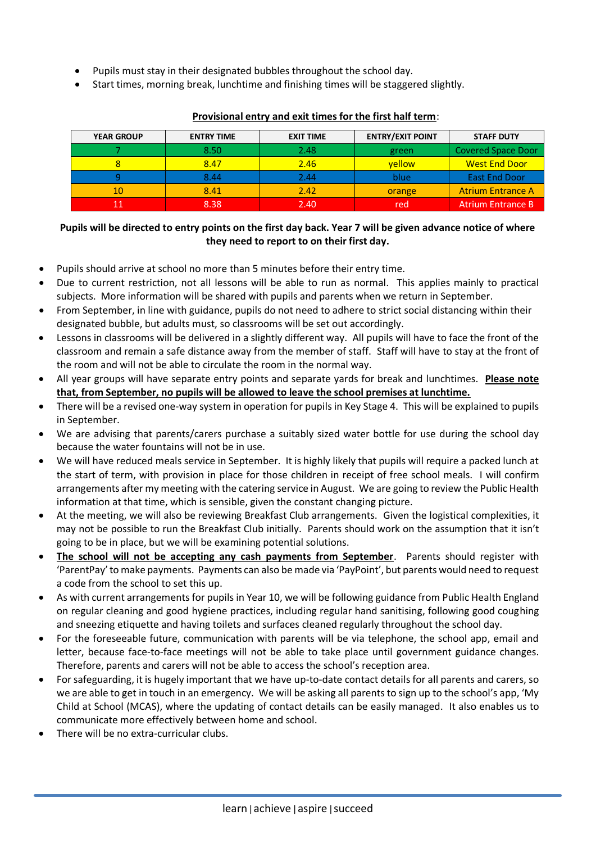- Pupils must stay in their designated bubbles throughout the school day.
- Start times, morning break, lunchtime and finishing times will be staggered slightly.

| <b>YEAR GROUP</b> | <b>ENTRY TIME</b> | <b>EXIT TIME</b> | <b>ENTRY/EXIT POINT</b> | <b>STAFF DUTY</b>         |
|-------------------|-------------------|------------------|-------------------------|---------------------------|
|                   | 8.50              | 2.48             | green                   | <b>Covered Space Door</b> |
|                   | 8.47              | 2.46             | vellow                  | <b>West End Door</b>      |
|                   | 8.44              | 2.44             | blue                    | <b>East End Door</b>      |
| 10                | 8.41              | 2.42             | orange                  | <b>Atrium Entrance A</b>  |
|                   | 8.38              | 2.40             | red                     | Atrium Entrance B         |

## **Provisional entry and exit times for the first half term**:

# **Pupils will be directed to entry points on the first day back. Year 7 will be given advance notice of where they need to report to on their first day.**

- Pupils should arrive at school no more than 5 minutes before their entry time.
- Due to current restriction, not all lessons will be able to run as normal. This applies mainly to practical subjects. More information will be shared with pupils and parents when we return in September.
- From September, in line with guidance, pupils do not need to adhere to strict social distancing within their designated bubble, but adults must, so classrooms will be set out accordingly.
- Lessons in classrooms will be delivered in a slightly different way. All pupils will have to face the front of the classroom and remain a safe distance away from the member of staff. Staff will have to stay at the front of the room and will not be able to circulate the room in the normal way.
- All year groups will have separate entry points and separate yards for break and lunchtimes. **Please note that, from September, no pupils will be allowed to leave the school premises at lunchtime.**
- There will be a revised one-way system in operation for pupils in Key Stage 4. This will be explained to pupils in September.
- We are advising that parents/carers purchase a suitably sized water bottle for use during the school day because the water fountains will not be in use.
- We will have reduced meals service in September. It is highly likely that pupils will require a packed lunch at the start of term, with provision in place for those children in receipt of free school meals. I will confirm arrangements after my meeting with the catering service in August. We are going to review the Public Health information at that time, which is sensible, given the constant changing picture.
- At the meeting, we will also be reviewing Breakfast Club arrangements. Given the logistical complexities, it may not be possible to run the Breakfast Club initially. Parents should work on the assumption that it isn't going to be in place, but we will be examining potential solutions.
- **The school will not be accepting any cash payments from September**. Parents should register with 'ParentPay' to make payments. Payments can also be made via 'PayPoint', but parents would need to request a code from the school to set this up.
- As with current arrangements for pupils in Year 10, we will be following guidance from Public Health England on regular cleaning and good hygiene practices, including regular hand sanitising, following good coughing and sneezing etiquette and having toilets and surfaces cleaned regularly throughout the school day.
- For the foreseeable future, communication with parents will be via telephone, the school app, email and letter, because face-to-face meetings will not be able to take place until government guidance changes. Therefore, parents and carers will not be able to access the school's reception area.
- For safeguarding, it is hugely important that we have up-to-date contact details for all parents and carers, so we are able to get in touch in an emergency. We will be asking all parents to sign up to the school's app, 'My Child at School (MCAS), where the updating of contact details can be easily managed. It also enables us to communicate more effectively between home and school.
- There will be no extra-curricular clubs.